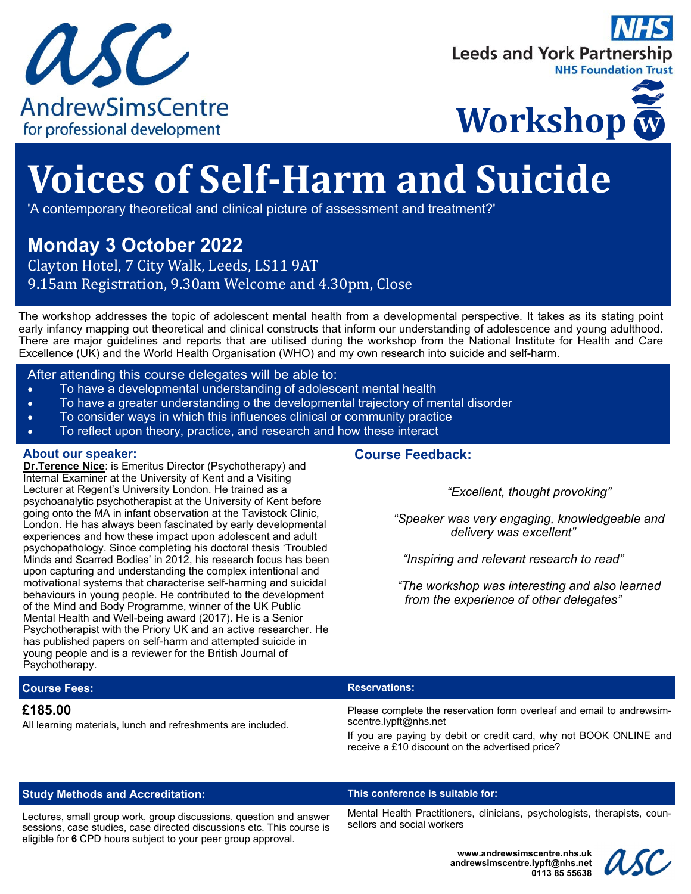





# **Voices of Self‐Harm and Suicide**

'A contemporary theoretical and clinical picture of assessment and treatment?'

# **Monday 3 October 2022**

Clayton Hotel, 7 City Walk, Leeds, LS11 9AT 9.15am Registration, 9.30am Welcome and 4.30pm, Close

The workshop addresses the topic of adolescent mental health from a developmental perspective. It takes as its stating point early infancy mapping out theoretical and clinical constructs that inform our understanding of adolescence and young adulthood. There are major guidelines and reports that are utilised during the workshop from the National Institute for Health and Care Excellence (UK) and the World Health Organisation (WHO) and my own research into suicide and self-harm.

# After attending this course delegates will be able to:

- To have a developmental understanding of adolescent mental health
- To have a greater understanding o the developmental trajectory of mental disorder
- To consider ways in which this influences clinical or community practice
- To reflect upon theory, practice, and research and how these interact

# **About our speaker:**

**Dr.Terence Nice:** is Emeritus Director (Psychotherapy) and Internal Examiner at the University of Kent and a Visiting Lecturer at Regent's University London. He trained as a psychoanalytic psychotherapist at the University of Kent before going onto the MA in infant observation at the Tavistock Clinic, London. He has always been fascinated by early developmental experiences and how these impact upon adolescent and adult psychopathology. Since completing his doctoral thesis 'Troubled Minds and Scarred Bodies' in 2012, his research focus has been upon capturing and understanding the complex intentional and motivational systems that characterise self-harming and suicidal behaviours in young people. He contributed to the development of the Mind and Body Programme, winner of the UK Public Mental Health and Well-being award (2017). He is a Senior Psychotherapist with the Priory UK and an active researcher. He has published papers on self-harm and attempted suicide in young people and is a reviewer for the British Journal of Psychotherapy.

# **Course Feedback:**

 *"Excellent, thought provoking"* 

 *"Speaker was very engaging, knowledgeable and delivery was excellent"* 

*"Inspiring and relevant research to read"* 

 *"The workshop was interesting and also learned from the experience of other delegates"* 

# **Course Fees: Reservations: Reservations: Reservations:**

# **£185.00**

All learning materials, lunch and refreshments are included.

Please complete the reservation form overleaf and email to andrewsimscentre.lypft@nhs.net

If you are paying by debit or credit card, why not BOOK ONLINE and receive a £10 discount on the advertised price?

# **Study Methods and Accreditation: This conference is suitable for:**

Lectures, small group work, group discussions, question and answer sessions, case studies, case directed discussions etc. This course is eligible for **6** CPD hours subject to your peer group approval.

Mental Health Practitioners, clinicians, psychologists, therapists, counsellors and social workers